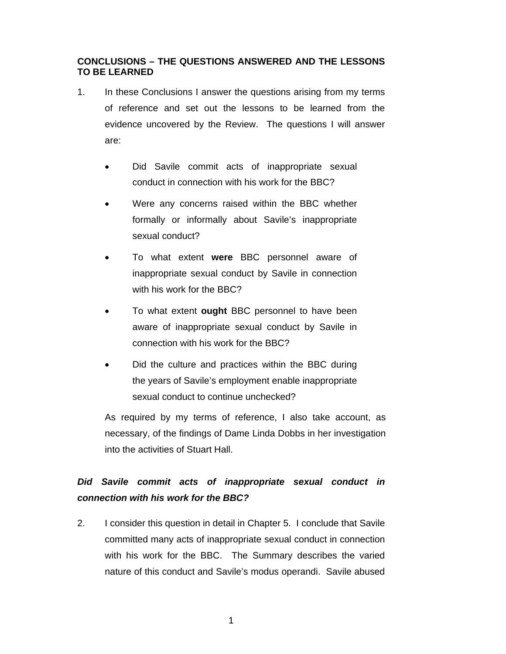## **CONCLUSIONS – THE QUESTIONS ANSWERED AND THE LESSONS TO BE LEARNED**

- 1. In these Conclusions I answer the questions arising from my terms of reference and set out the lessons to be learned from the evidence uncovered by the Review. The questions I will answer are:
	- Did Savile commit acts of inappropriate sexual conduct in connection with his work for the BBC?
	- Were any concerns raised within the BBC whether formally or informally about Savile's inappropriate sexual conduct?
	- To what extent **were** BBC personnel aware of inappropriate sexual conduct by Savile in connection with his work for the BBC?
	- To what extent **ought** BBC personnel to have been aware of inappropriate sexual conduct by Savile in connection with his work for the BBC?
	- Did the culture and practices within the BBC during the years of Savile's employment enable inappropriate sexual conduct to continue unchecked?

As required by my terms of reference, I also take account, as necessary, of the findings of Dame Linda Dobbs in her investigation into the activities of Stuart Hall.

## *Did Savile commit acts of inappropriate sexual conduct in connection with his work for the BBC?*

2. I consider this question in detail in Chapter 5. I conclude that Savile committed many acts of inappropriate sexual conduct in connection with his work for the BBC. The Summary describes the varied nature of this conduct and Savile's modus operandi. Savile abused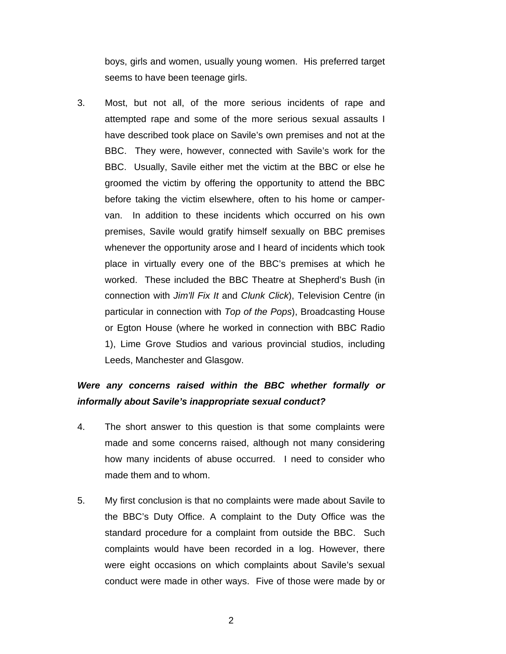boys, girls and women, usually young women. His preferred target seems to have been teenage girls.

3. Most, but not all, of the more serious incidents of rape and attempted rape and some of the more serious sexual assaults I have described took place on Savile's own premises and not at the BBC. They were, however, connected with Savile's work for the BBC. Usually, Savile either met the victim at the BBC or else he groomed the victim by offering the opportunity to attend the BBC before taking the victim elsewhere, often to his home or campervan. In addition to these incidents which occurred on his own premises, Savile would gratify himself sexually on BBC premises whenever the opportunity arose and I heard of incidents which took place in virtually every one of the BBC's premises at which he worked. These included the BBC Theatre at Shepherd's Bush (in connection with *Jim'll Fix It* and *Clunk Click*), Television Centre (in particular in connection with *Top of the Pops*), Broadcasting House or Egton House (where he worked in connection with BBC Radio 1), Lime Grove Studios and various provincial studios, including Leeds, Manchester and Glasgow.

## *Were any concerns raised within the BBC whether formally or informally about Savile's inappropriate sexual conduct?*

- 4. The short answer to this question is that some complaints were made and some concerns raised, although not many considering how many incidents of abuse occurred. I need to consider who made them and to whom.
- 5. My first conclusion is that no complaints were made about Savile to the BBC's Duty Office. A complaint to the Duty Office was the standard procedure for a complaint from outside the BBC. Such complaints would have been recorded in a log. However, there were eight occasions on which complaints about Savile's sexual conduct were made in other ways. Five of those were made by or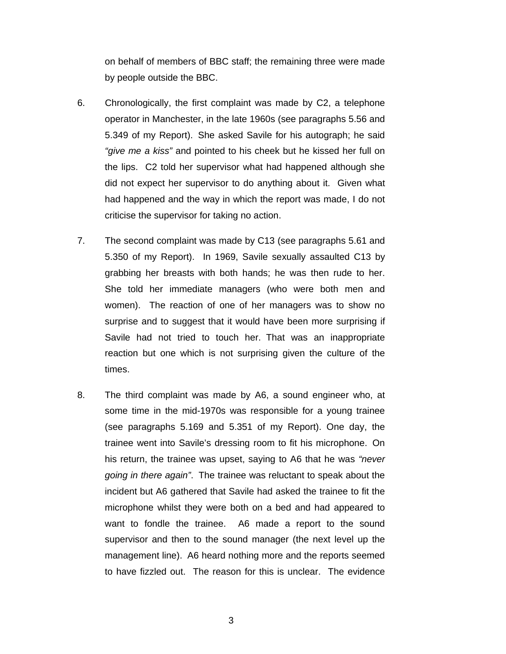on behalf of members of BBC staff; the remaining three were made by people outside the BBC.

- 6. Chronologically, the first complaint was made by C2, a telephone operator in Manchester, in the late 1960s (see paragraphs 5.56 and 5.349 of my Report). She asked Savile for his autograph; he said *"give me a kiss"* and pointed to his cheek but he kissed her full on the lips. C2 told her supervisor what had happened although she did not expect her supervisor to do anything about it. Given what had happened and the way in which the report was made, I do not criticise the supervisor for taking no action.
- 7. The second complaint was made by C13 (see paragraphs 5.61 and 5.350 of my Report). In 1969, Savile sexually assaulted C13 by grabbing her breasts with both hands; he was then rude to her. She told her immediate managers (who were both men and women). The reaction of one of her managers was to show no surprise and to suggest that it would have been more surprising if Savile had not tried to touch her. That was an inappropriate reaction but one which is not surprising given the culture of the times.
- 8. The third complaint was made by A6, a sound engineer who, at some time in the mid-1970s was responsible for a young trainee (see paragraphs 5.169 and 5.351 of my Report). One day, the trainee went into Savile's dressing room to fit his microphone. On his return, the trainee was upset, saying to A6 that he was *"never going in there again"*. The trainee was reluctant to speak about the incident but A6 gathered that Savile had asked the trainee to fit the microphone whilst they were both on a bed and had appeared to want to fondle the trainee. A6 made a report to the sound supervisor and then to the sound manager (the next level up the management line). A6 heard nothing more and the reports seemed to have fizzled out. The reason for this is unclear. The evidence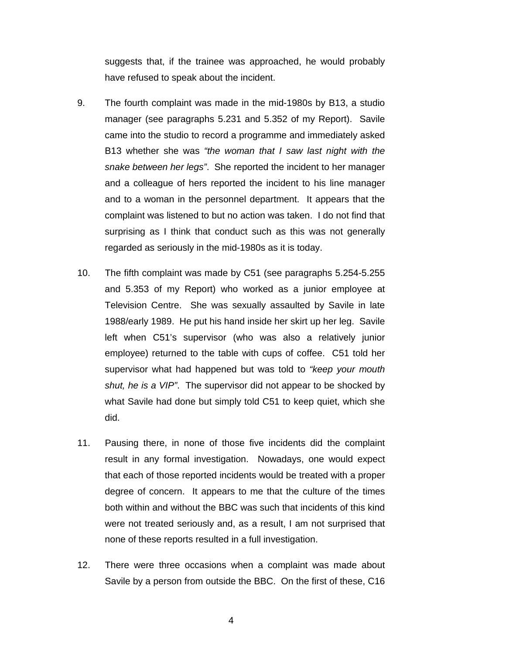suggests that, if the trainee was approached, he would probably have refused to speak about the incident.

- 9. The fourth complaint was made in the mid-1980s by B13, a studio manager (see paragraphs 5.231 and 5.352 of my Report). Savile came into the studio to record a programme and immediately asked B13 whether she was *"the woman that I saw last night with the snake between her legs"*. She reported the incident to her manager and a colleague of hers reported the incident to his line manager and to a woman in the personnel department. It appears that the complaint was listened to but no action was taken. I do not find that surprising as I think that conduct such as this was not generally regarded as seriously in the mid-1980s as it is today.
- 10. The fifth complaint was made by C51 (see paragraphs 5.254-5.255 and 5.353 of my Report) who worked as a junior employee at Television Centre. She was sexually assaulted by Savile in late 1988/early 1989. He put his hand inside her skirt up her leg. Savile left when C51's supervisor (who was also a relatively junior employee) returned to the table with cups of coffee. C51 told her supervisor what had happened but was told to *"keep your mouth shut, he is a VIP"*. The supervisor did not appear to be shocked by what Savile had done but simply told C51 to keep quiet, which she did.
- 11. Pausing there, in none of those five incidents did the complaint result in any formal investigation. Nowadays, one would expect that each of those reported incidents would be treated with a proper degree of concern. It appears to me that the culture of the times both within and without the BBC was such that incidents of this kind were not treated seriously and, as a result, I am not surprised that none of these reports resulted in a full investigation.
- 12. There were three occasions when a complaint was made about Savile by a person from outside the BBC. On the first of these, C16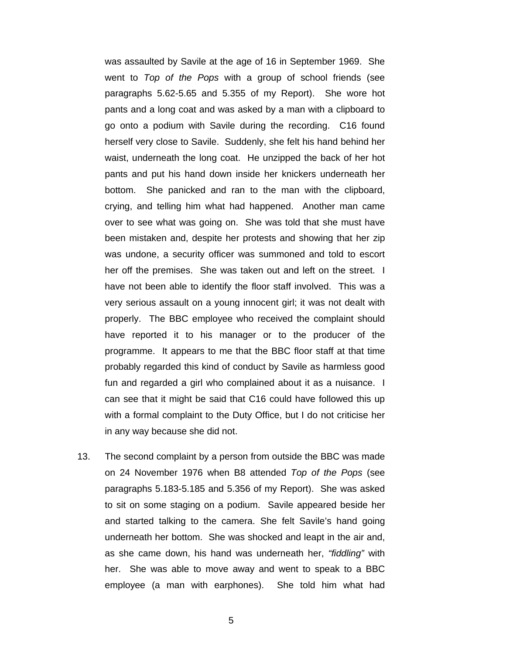was assaulted by Savile at the age of 16 in September 1969. She went to *Top of the Pops* with a group of school friends (see paragraphs 5.62-5.65 and 5.355 of my Report). She wore hot pants and a long coat and was asked by a man with a clipboard to go onto a podium with Savile during the recording. C16 found herself very close to Savile. Suddenly, she felt his hand behind her waist, underneath the long coat. He unzipped the back of her hot pants and put his hand down inside her knickers underneath her bottom. She panicked and ran to the man with the clipboard, crying, and telling him what had happened. Another man came over to see what was going on. She was told that she must have been mistaken and, despite her protests and showing that her zip was undone, a security officer was summoned and told to escort her off the premises. She was taken out and left on the street. I have not been able to identify the floor staff involved. This was a very serious assault on a young innocent girl; it was not dealt with properly. The BBC employee who received the complaint should have reported it to his manager or to the producer of the programme. It appears to me that the BBC floor staff at that time probably regarded this kind of conduct by Savile as harmless good fun and regarded a girl who complained about it as a nuisance. I can see that it might be said that C16 could have followed this up with a formal complaint to the Duty Office, but I do not criticise her in any way because she did not.

13. The second complaint by a person from outside the BBC was made on 24 November 1976 when B8 attended *Top of the Pops* (see paragraphs 5.183-5.185 and 5.356 of my Report). She was asked to sit on some staging on a podium. Savile appeared beside her and started talking to the camera. She felt Savile's hand going underneath her bottom. She was shocked and leapt in the air and, as she came down, his hand was underneath her, *"fiddling"* with her. She was able to move away and went to speak to a BBC employee (a man with earphones). She told him what had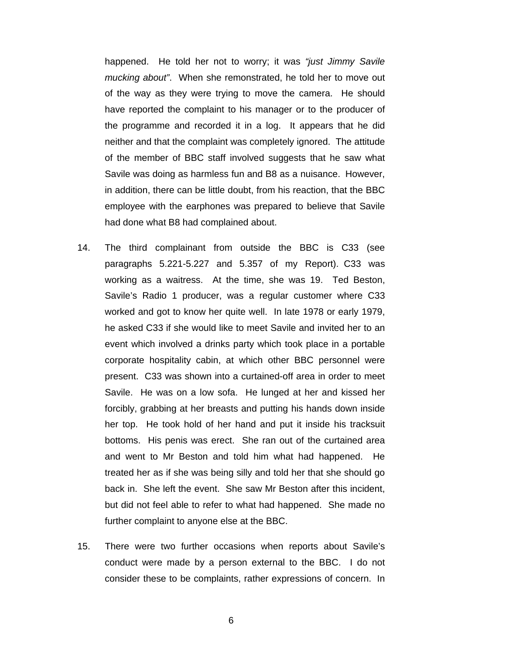happened. He told her not to worry; it was *"just Jimmy Savile mucking about"*. When she remonstrated, he told her to move out of the way as they were trying to move the camera. He should have reported the complaint to his manager or to the producer of the programme and recorded it in a log. It appears that he did neither and that the complaint was completely ignored. The attitude of the member of BBC staff involved suggests that he saw what Savile was doing as harmless fun and B8 as a nuisance. However, in addition, there can be little doubt, from his reaction, that the BBC employee with the earphones was prepared to believe that Savile had done what B8 had complained about.

- 14. The third complainant from outside the BBC is C33 (see paragraphs 5.221-5.227 and 5.357 of my Report). C33 was working as a waitress. At the time, she was 19. Ted Beston, Savile's Radio 1 producer, was a regular customer where C33 worked and got to know her quite well. In late 1978 or early 1979, he asked C33 if she would like to meet Savile and invited her to an event which involved a drinks party which took place in a portable corporate hospitality cabin, at which other BBC personnel were present. C33 was shown into a curtained-off area in order to meet Savile. He was on a low sofa. He lunged at her and kissed her forcibly, grabbing at her breasts and putting his hands down inside her top. He took hold of her hand and put it inside his tracksuit bottoms. His penis was erect. She ran out of the curtained area and went to Mr Beston and told him what had happened. He treated her as if she was being silly and told her that she should go back in. She left the event. She saw Mr Beston after this incident, but did not feel able to refer to what had happened. She made no further complaint to anyone else at the BBC.
- 15. There were two further occasions when reports about Savile's conduct were made by a person external to the BBC. I do not consider these to be complaints, rather expressions of concern. In

6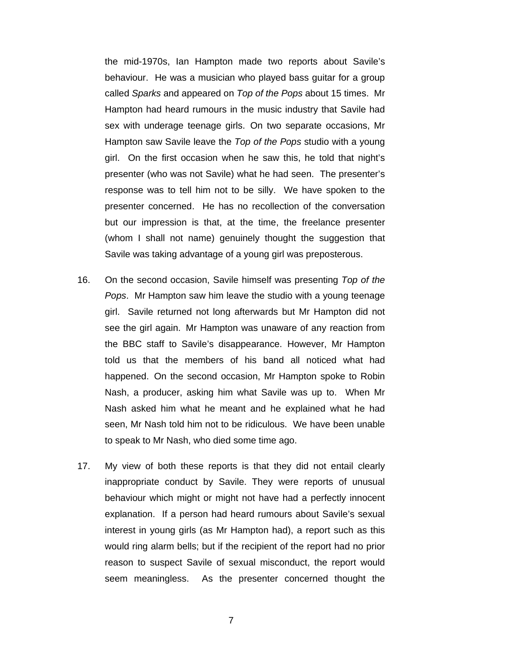the mid-1970s, Ian Hampton made two reports about Savile's behaviour. He was a musician who played bass guitar for a group called *Sparks* and appeared on *Top of the Pops* about 15 times. Mr Hampton had heard rumours in the music industry that Savile had sex with underage teenage girls. On two separate occasions, Mr Hampton saw Savile leave the *Top of the Pops* studio with a young girl. On the first occasion when he saw this, he told that night's presenter (who was not Savile) what he had seen. The presenter's response was to tell him not to be silly. We have spoken to the presenter concerned. He has no recollection of the conversation but our impression is that, at the time, the freelance presenter (whom I shall not name) genuinely thought the suggestion that Savile was taking advantage of a young girl was preposterous.

- 16. On the second occasion, Savile himself was presenting *Top of the Pops*. Mr Hampton saw him leave the studio with a young teenage girl. Savile returned not long afterwards but Mr Hampton did not see the girl again. Mr Hampton was unaware of any reaction from the BBC staff to Savile's disappearance. However, Mr Hampton told us that the members of his band all noticed what had happened. On the second occasion, Mr Hampton spoke to Robin Nash, a producer, asking him what Savile was up to. When Mr Nash asked him what he meant and he explained what he had seen, Mr Nash told him not to be ridiculous. We have been unable to speak to Mr Nash, who died some time ago.
- 17. My view of both these reports is that they did not entail clearly inappropriate conduct by Savile. They were reports of unusual behaviour which might or might not have had a perfectly innocent explanation. If a person had heard rumours about Savile's sexual interest in young girls (as Mr Hampton had), a report such as this would ring alarm bells; but if the recipient of the report had no prior reason to suspect Savile of sexual misconduct, the report would seem meaningless. As the presenter concerned thought the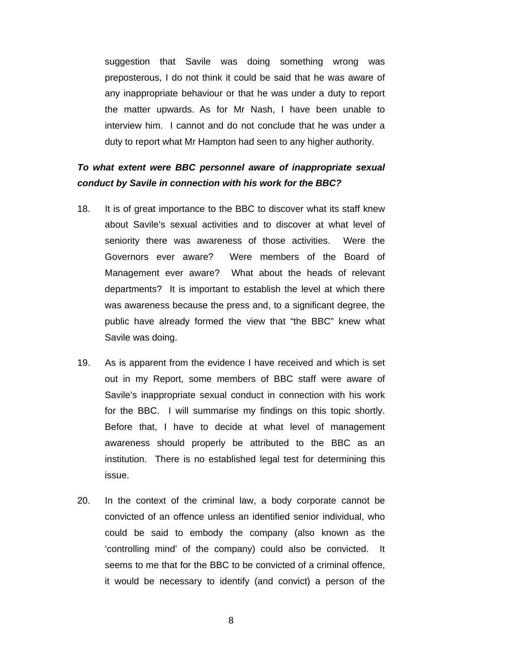suggestion that Savile was doing something wrong was preposterous, I do not think it could be said that he was aware of any inappropriate behaviour or that he was under a duty to report the matter upwards. As for Mr Nash, I have been unable to interview him. I cannot and do not conclude that he was under a duty to report what Mr Hampton had seen to any higher authority.

## *To what extent were BBC personnel aware of inappropriate sexual conduct by Savile in connection with his work for the BBC?*

- 18. It is of great importance to the BBC to discover what its staff knew about Savile's sexual activities and to discover at what level of seniority there was awareness of those activities. Were the Governors ever aware? Were members of the Board of Management ever aware? What about the heads of relevant departments? It is important to establish the level at which there was awareness because the press and, to a significant degree, the public have already formed the view that "the BBC" knew what Savile was doing.
- 19. As is apparent from the evidence I have received and which is set out in my Report, some members of BBC staff were aware of Savile's inappropriate sexual conduct in connection with his work for the BBC. I will summarise my findings on this topic shortly. Before that, I have to decide at what level of management awareness should properly be attributed to the BBC as an institution. There is no established legal test for determining this issue.
- 20. In the context of the criminal law, a body corporate cannot be convicted of an offence unless an identified senior individual, who could be said to embody the company (also known as the 'controlling mind' of the company) could also be convicted. It seems to me that for the BBC to be convicted of a criminal offence, it would be necessary to identify (and convict) a person of the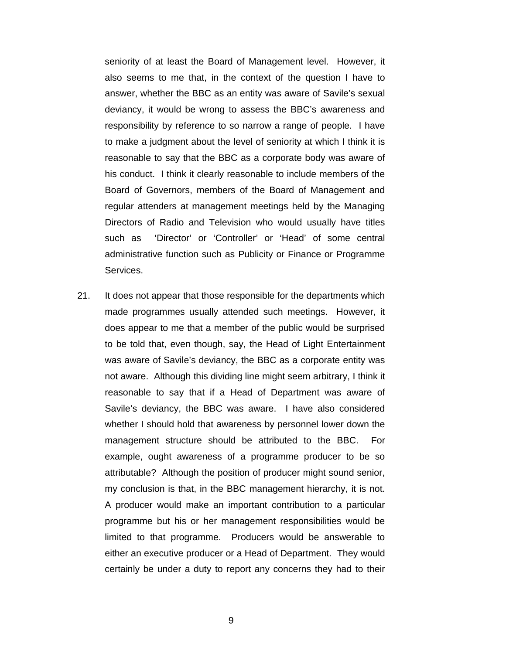seniority of at least the Board of Management level. However, it also seems to me that, in the context of the question I have to answer, whether the BBC as an entity was aware of Savile's sexual deviancy, it would be wrong to assess the BBC's awareness and responsibility by reference to so narrow a range of people. I have to make a judgment about the level of seniority at which I think it is reasonable to say that the BBC as a corporate body was aware of his conduct. I think it clearly reasonable to include members of the Board of Governors, members of the Board of Management and regular attenders at management meetings held by the Managing Directors of Radio and Television who would usually have titles such as 'Director' or 'Controller' or 'Head' of some central administrative function such as Publicity or Finance or Programme Services.

21. It does not appear that those responsible for the departments which made programmes usually attended such meetings. However, it does appear to me that a member of the public would be surprised to be told that, even though, say, the Head of Light Entertainment was aware of Savile's deviancy, the BBC as a corporate entity was not aware. Although this dividing line might seem arbitrary, I think it reasonable to say that if a Head of Department was aware of Savile's deviancy, the BBC was aware. I have also considered whether I should hold that awareness by personnel lower down the management structure should be attributed to the BBC. For example, ought awareness of a programme producer to be so attributable? Although the position of producer might sound senior, my conclusion is that, in the BBC management hierarchy, it is not. A producer would make an important contribution to a particular programme but his or her management responsibilities would be limited to that programme. Producers would be answerable to either an executive producer or a Head of Department. They would certainly be under a duty to report any concerns they had to their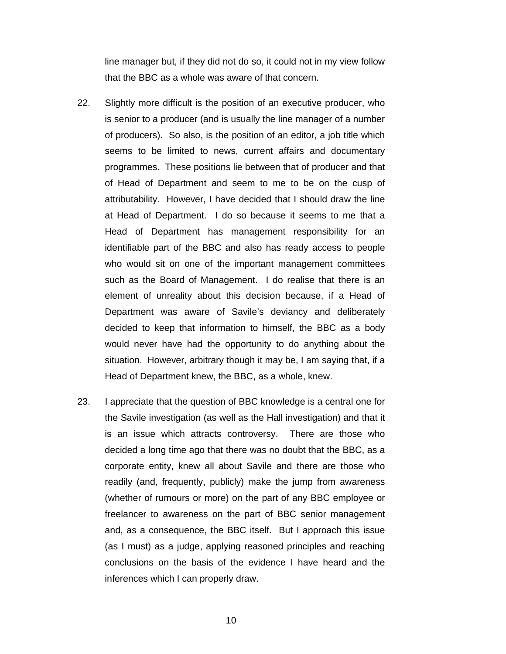line manager but, if they did not do so, it could not in my view follow that the BBC as a whole was aware of that concern.

- 22. Slightly more difficult is the position of an executive producer, who is senior to a producer (and is usually the line manager of a number of producers). So also, is the position of an editor, a job title which seems to be limited to news, current affairs and documentary programmes. These positions lie between that of producer and that of Head of Department and seem to me to be on the cusp of attributability. However, I have decided that I should draw the line at Head of Department. I do so because it seems to me that a Head of Department has management responsibility for an identifiable part of the BBC and also has ready access to people who would sit on one of the important management committees such as the Board of Management. I do realise that there is an element of unreality about this decision because, if a Head of Department was aware of Savile's deviancy and deliberately decided to keep that information to himself, the BBC as a body would never have had the opportunity to do anything about the situation. However, arbitrary though it may be, I am saying that, if a Head of Department knew, the BBC, as a whole, knew.
- 23. I appreciate that the question of BBC knowledge is a central one for the Savile investigation (as well as the Hall investigation) and that it is an issue which attracts controversy. There are those who decided a long time ago that there was no doubt that the BBC, as a corporate entity, knew all about Savile and there are those who readily (and, frequently, publicly) make the jump from awareness (whether of rumours or more) on the part of any BBC employee or freelancer to awareness on the part of BBC senior management and, as a consequence, the BBC itself. But I approach this issue (as I must) as a judge, applying reasoned principles and reaching conclusions on the basis of the evidence I have heard and the inferences which I can properly draw.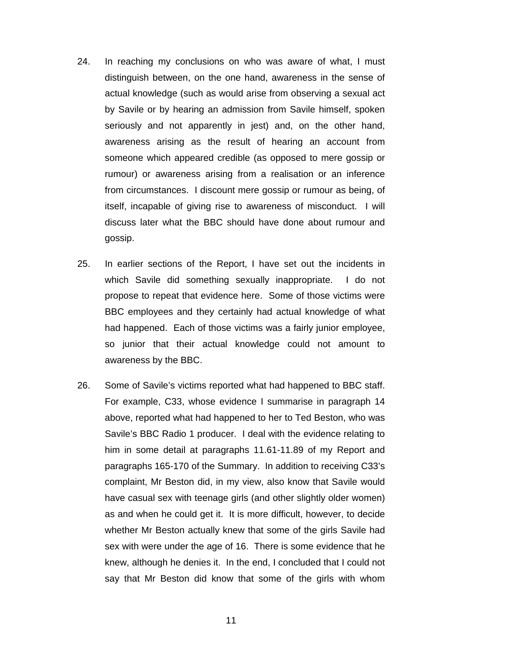- 24. In reaching my conclusions on who was aware of what, I must distinguish between, on the one hand, awareness in the sense of actual knowledge (such as would arise from observing a sexual act by Savile or by hearing an admission from Savile himself, spoken seriously and not apparently in jest) and, on the other hand, awareness arising as the result of hearing an account from someone which appeared credible (as opposed to mere gossip or rumour) or awareness arising from a realisation or an inference from circumstances. I discount mere gossip or rumour as being, of itself, incapable of giving rise to awareness of misconduct. I will discuss later what the BBC should have done about rumour and gossip.
- 25. In earlier sections of the Report, I have set out the incidents in which Savile did something sexually inappropriate. I do not propose to repeat that evidence here. Some of those victims were BBC employees and they certainly had actual knowledge of what had happened. Each of those victims was a fairly junior employee, so junior that their actual knowledge could not amount to awareness by the BBC.
- 26. Some of Savile's victims reported what had happened to BBC staff. For example, C33, whose evidence I summarise in paragraph 14 above, reported what had happened to her to Ted Beston, who was Savile's BBC Radio 1 producer. I deal with the evidence relating to him in some detail at paragraphs 11.61-11.89 of my Report and paragraphs 165-170 of the Summary. In addition to receiving C33's complaint, Mr Beston did, in my view, also know that Savile would have casual sex with teenage girls (and other slightly older women) as and when he could get it. It is more difficult, however, to decide whether Mr Beston actually knew that some of the girls Savile had sex with were under the age of 16. There is some evidence that he knew, although he denies it. In the end, I concluded that I could not say that Mr Beston did know that some of the girls with whom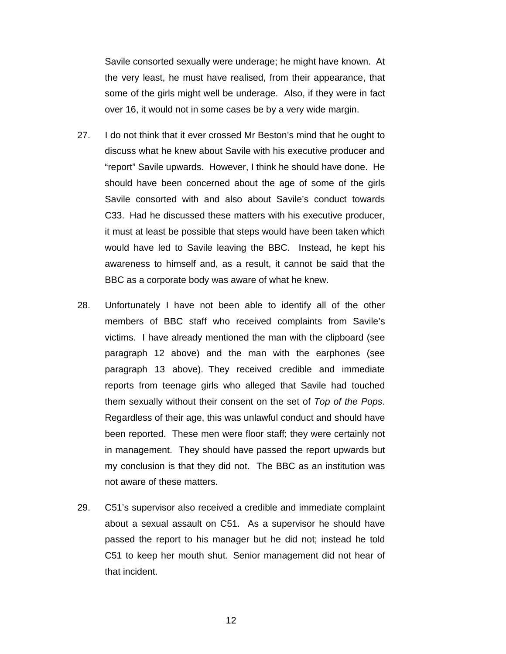Savile consorted sexually were underage; he might have known. At the very least, he must have realised, from their appearance, that some of the girls might well be underage. Also, if they were in fact over 16, it would not in some cases be by a very wide margin.

- 27. I do not think that it ever crossed Mr Beston's mind that he ought to discuss what he knew about Savile with his executive producer and "report" Savile upwards. However, I think he should have done. He should have been concerned about the age of some of the girls Savile consorted with and also about Savile's conduct towards C33. Had he discussed these matters with his executive producer, it must at least be possible that steps would have been taken which would have led to Savile leaving the BBC. Instead, he kept his awareness to himself and, as a result, it cannot be said that the BBC as a corporate body was aware of what he knew.
- 28. Unfortunately I have not been able to identify all of the other members of BBC staff who received complaints from Savile's victims. I have already mentioned the man with the clipboard (see paragraph 12 above) and the man with the earphones (see paragraph 13 above). They received credible and immediate reports from teenage girls who alleged that Savile had touched them sexually without their consent on the set of *Top of the Pops*. Regardless of their age, this was unlawful conduct and should have been reported. These men were floor staff; they were certainly not in management. They should have passed the report upwards but my conclusion is that they did not. The BBC as an institution was not aware of these matters.
- 29. C51's supervisor also received a credible and immediate complaint about a sexual assault on C51. As a supervisor he should have passed the report to his manager but he did not; instead he told C51 to keep her mouth shut. Senior management did not hear of that incident.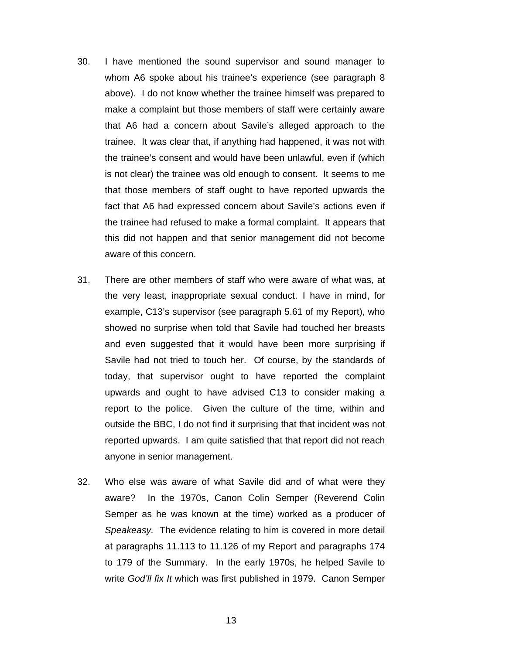- 30. I have mentioned the sound supervisor and sound manager to whom A6 spoke about his trainee's experience (see paragraph 8 above). I do not know whether the trainee himself was prepared to make a complaint but those members of staff were certainly aware that A6 had a concern about Savile's alleged approach to the trainee. It was clear that, if anything had happened, it was not with the trainee's consent and would have been unlawful, even if (which is not clear) the trainee was old enough to consent. It seems to me that those members of staff ought to have reported upwards the fact that A6 had expressed concern about Savile's actions even if the trainee had refused to make a formal complaint. It appears that this did not happen and that senior management did not become aware of this concern.
- 31. There are other members of staff who were aware of what was, at the very least, inappropriate sexual conduct. I have in mind, for example, C13's supervisor (see paragraph 5.61 of my Report), who showed no surprise when told that Savile had touched her breasts and even suggested that it would have been more surprising if Savile had not tried to touch her. Of course, by the standards of today, that supervisor ought to have reported the complaint upwards and ought to have advised C13 to consider making a report to the police. Given the culture of the time, within and outside the BBC, I do not find it surprising that that incident was not reported upwards. I am quite satisfied that that report did not reach anyone in senior management.
- 32. Who else was aware of what Savile did and of what were they aware? In the 1970s, Canon Colin Semper (Reverend Colin Semper as he was known at the time) worked as a producer of *Speakeasy.* The evidence relating to him is covered in more detail at paragraphs 11.113 to 11.126 of my Report and paragraphs 174 to 179 of the Summary. In the early 1970s, he helped Savile to write *God'll fix It* which was first published in 1979. Canon Semper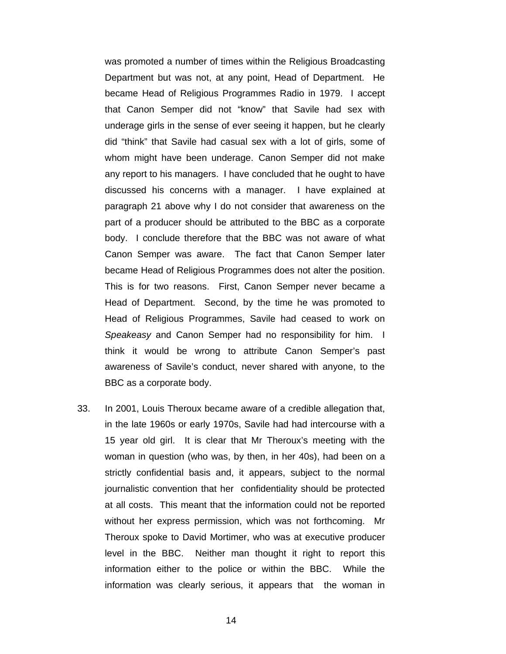was promoted a number of times within the Religious Broadcasting Department but was not, at any point, Head of Department. He became Head of Religious Programmes Radio in 1979. I accept that Canon Semper did not "know" that Savile had sex with underage girls in the sense of ever seeing it happen, but he clearly did "think" that Savile had casual sex with a lot of girls, some of whom might have been underage. Canon Semper did not make any report to his managers. I have concluded that he ought to have discussed his concerns with a manager. I have explained at paragraph 21 above why I do not consider that awareness on the part of a producer should be attributed to the BBC as a corporate body. I conclude therefore that the BBC was not aware of what Canon Semper was aware. The fact that Canon Semper later became Head of Religious Programmes does not alter the position. This is for two reasons. First, Canon Semper never became a Head of Department. Second, by the time he was promoted to Head of Religious Programmes, Savile had ceased to work on *Speakeasy* and Canon Semper had no responsibility for him. I think it would be wrong to attribute Canon Semper's past awareness of Savile's conduct, never shared with anyone, to the BBC as a corporate body.

33. In 2001, Louis Theroux became aware of a credible allegation that, in the late 1960s or early 1970s, Savile had had intercourse with a 15 year old girl. It is clear that Mr Theroux's meeting with the woman in question (who was, by then, in her 40s), had been on a strictly confidential basis and, it appears, subject to the normal journalistic convention that her confidentiality should be protected at all costs. This meant that the information could not be reported without her express permission, which was not forthcoming. Mr Theroux spoke to David Mortimer, who was at executive producer level in the BBC. Neither man thought it right to report this information either to the police or within the BBC. While the information was clearly serious, it appears that the woman in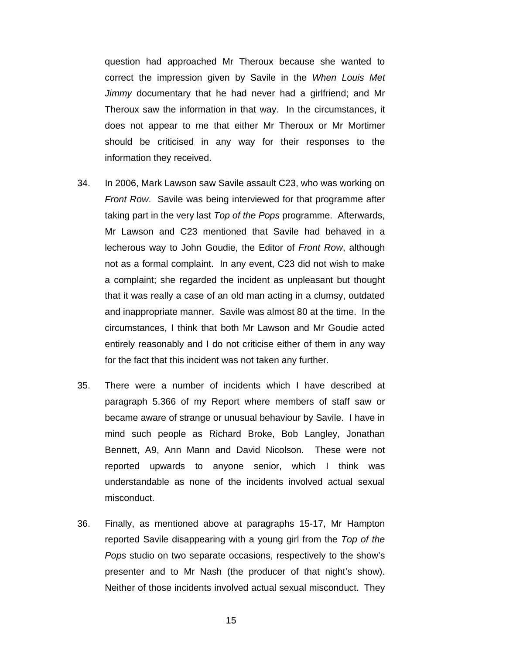question had approached Mr Theroux because she wanted to correct the impression given by Savile in the *When Louis Met Jimmy* documentary that he had never had a girlfriend; and Mr Theroux saw the information in that way. In the circumstances, it does not appear to me that either Mr Theroux or Mr Mortimer should be criticised in any way for their responses to the information they received.

- 34. In 2006, Mark Lawson saw Savile assault C23, who was working on *Front Row*. Savile was being interviewed for that programme after taking part in the very last *Top of the Pops* programme. Afterwards, Mr Lawson and C23 mentioned that Savile had behaved in a lecherous way to John Goudie, the Editor of *Front Row*, although not as a formal complaint. In any event, C23 did not wish to make a complaint; she regarded the incident as unpleasant but thought that it was really a case of an old man acting in a clumsy, outdated and inappropriate manner. Savile was almost 80 at the time. In the circumstances, I think that both Mr Lawson and Mr Goudie acted entirely reasonably and I do not criticise either of them in any way for the fact that this incident was not taken any further.
- 35. There were a number of incidents which I have described at paragraph 5.366 of my Report where members of staff saw or became aware of strange or unusual behaviour by Savile. I have in mind such people as Richard Broke, Bob Langley, Jonathan Bennett, A9, Ann Mann and David Nicolson. These were not reported upwards to anyone senior, which I think was understandable as none of the incidents involved actual sexual misconduct.
- 36. Finally, as mentioned above at paragraphs 15-17, Mr Hampton reported Savile disappearing with a young girl from the *Top of the Pops* studio on two separate occasions, respectively to the show's presenter and to Mr Nash (the producer of that night's show). Neither of those incidents involved actual sexual misconduct. They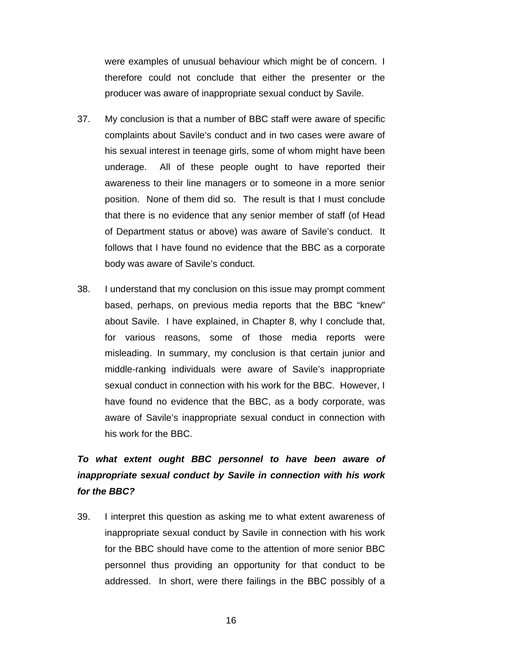were examples of unusual behaviour which might be of concern. I therefore could not conclude that either the presenter or the producer was aware of inappropriate sexual conduct by Savile.

- 37. My conclusion is that a number of BBC staff were aware of specific complaints about Savile's conduct and in two cases were aware of his sexual interest in teenage girls, some of whom might have been underage. All of these people ought to have reported their awareness to their line managers or to someone in a more senior position. None of them did so. The result is that I must conclude that there is no evidence that any senior member of staff (of Head of Department status or above) was aware of Savile's conduct. It follows that I have found no evidence that the BBC as a corporate body was aware of Savile's conduct.
- 38. I understand that my conclusion on this issue may prompt comment based, perhaps, on previous media reports that the BBC "knew" about Savile. I have explained, in Chapter 8, why I conclude that, for various reasons, some of those media reports were misleading. In summary, my conclusion is that certain junior and middle-ranking individuals were aware of Savile's inappropriate sexual conduct in connection with his work for the BBC. However, I have found no evidence that the BBC, as a body corporate, was aware of Savile's inappropriate sexual conduct in connection with his work for the BBC.

# *To what extent ought BBC personnel to have been aware of inappropriate sexual conduct by Savile in connection with his work for the BBC?*

39. I interpret this question as asking me to what extent awareness of inappropriate sexual conduct by Savile in connection with his work for the BBC should have come to the attention of more senior BBC personnel thus providing an opportunity for that conduct to be addressed. In short, were there failings in the BBC possibly of a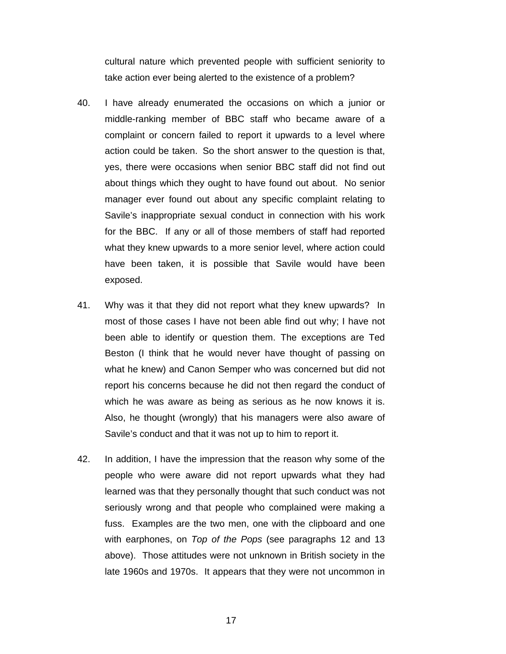cultural nature which prevented people with sufficient seniority to take action ever being alerted to the existence of a problem?

- 40. I have already enumerated the occasions on which a junior or middle-ranking member of BBC staff who became aware of a complaint or concern failed to report it upwards to a level where action could be taken. So the short answer to the question is that, yes, there were occasions when senior BBC staff did not find out about things which they ought to have found out about. No senior manager ever found out about any specific complaint relating to Savile's inappropriate sexual conduct in connection with his work for the BBC. If any or all of those members of staff had reported what they knew upwards to a more senior level, where action could have been taken, it is possible that Savile would have been exposed.
- 41. Why was it that they did not report what they knew upwards? In most of those cases I have not been able find out why; I have not been able to identify or question them. The exceptions are Ted Beston (I think that he would never have thought of passing on what he knew) and Canon Semper who was concerned but did not report his concerns because he did not then regard the conduct of which he was aware as being as serious as he now knows it is. Also, he thought (wrongly) that his managers were also aware of Savile's conduct and that it was not up to him to report it.
- 42. In addition, I have the impression that the reason why some of the people who were aware did not report upwards what they had learned was that they personally thought that such conduct was not seriously wrong and that people who complained were making a fuss. Examples are the two men, one with the clipboard and one with earphones, on *Top of the Pops* (see paragraphs 12 and 13 above). Those attitudes were not unknown in British society in the late 1960s and 1970s. It appears that they were not uncommon in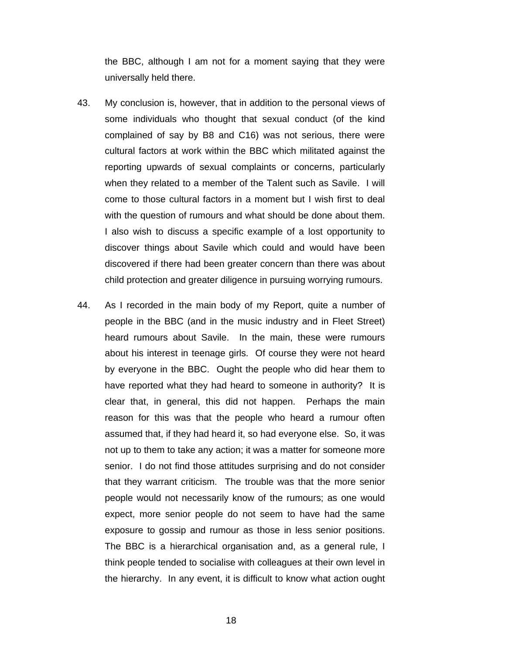the BBC, although I am not for a moment saying that they were universally held there.

- 43. My conclusion is, however, that in addition to the personal views of some individuals who thought that sexual conduct (of the kind complained of say by B8 and C16) was not serious, there were cultural factors at work within the BBC which militated against the reporting upwards of sexual complaints or concerns, particularly when they related to a member of the Talent such as Savile. I will come to those cultural factors in a moment but I wish first to deal with the question of rumours and what should be done about them. I also wish to discuss a specific example of a lost opportunity to discover things about Savile which could and would have been discovered if there had been greater concern than there was about child protection and greater diligence in pursuing worrying rumours.
- 44. As I recorded in the main body of my Report, quite a number of people in the BBC (and in the music industry and in Fleet Street) heard rumours about Savile. In the main, these were rumours about his interest in teenage girls. Of course they were not heard by everyone in the BBC. Ought the people who did hear them to have reported what they had heard to someone in authority? It is clear that, in general, this did not happen. Perhaps the main reason for this was that the people who heard a rumour often assumed that, if they had heard it, so had everyone else. So, it was not up to them to take any action; it was a matter for someone more senior. I do not find those attitudes surprising and do not consider that they warrant criticism. The trouble was that the more senior people would not necessarily know of the rumours; as one would expect, more senior people do not seem to have had the same exposure to gossip and rumour as those in less senior positions. The BBC is a hierarchical organisation and, as a general rule, I think people tended to socialise with colleagues at their own level in the hierarchy. In any event, it is difficult to know what action ought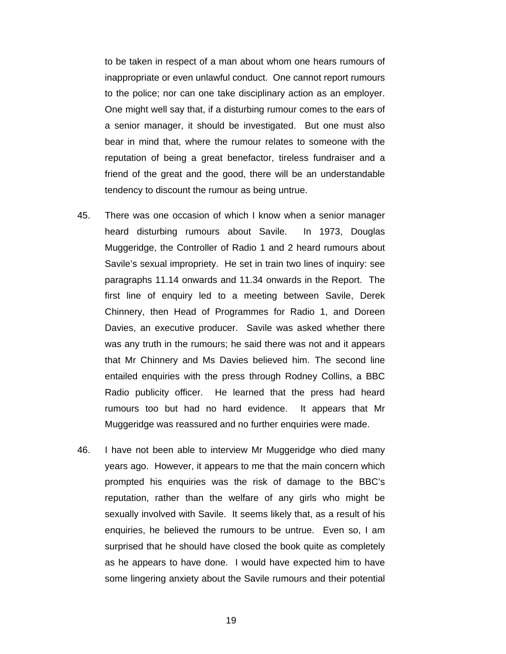to be taken in respect of a man about whom one hears rumours of inappropriate or even unlawful conduct. One cannot report rumours to the police; nor can one take disciplinary action as an employer. One might well say that, if a disturbing rumour comes to the ears of a senior manager, it should be investigated. But one must also bear in mind that, where the rumour relates to someone with the reputation of being a great benefactor, tireless fundraiser and a friend of the great and the good, there will be an understandable tendency to discount the rumour as being untrue.

- 45. There was one occasion of which I know when a senior manager heard disturbing rumours about Savile. In 1973, Douglas Muggeridge, the Controller of Radio 1 and 2 heard rumours about Savile's sexual impropriety. He set in train two lines of inquiry: see paragraphs 11.14 onwards and 11.34 onwards in the Report. The first line of enquiry led to a meeting between Savile, Derek Chinnery, then Head of Programmes for Radio 1, and Doreen Davies, an executive producer. Savile was asked whether there was any truth in the rumours; he said there was not and it appears that Mr Chinnery and Ms Davies believed him. The second line entailed enquiries with the press through Rodney Collins, a BBC Radio publicity officer. He learned that the press had heard rumours too but had no hard evidence. It appears that Mr Muggeridge was reassured and no further enquiries were made.
- 46. I have not been able to interview Mr Muggeridge who died many years ago. However, it appears to me that the main concern which prompted his enquiries was the risk of damage to the BBC's reputation, rather than the welfare of any girls who might be sexually involved with Savile. It seems likely that, as a result of his enquiries, he believed the rumours to be untrue. Even so, I am surprised that he should have closed the book quite as completely as he appears to have done. I would have expected him to have some lingering anxiety about the Savile rumours and their potential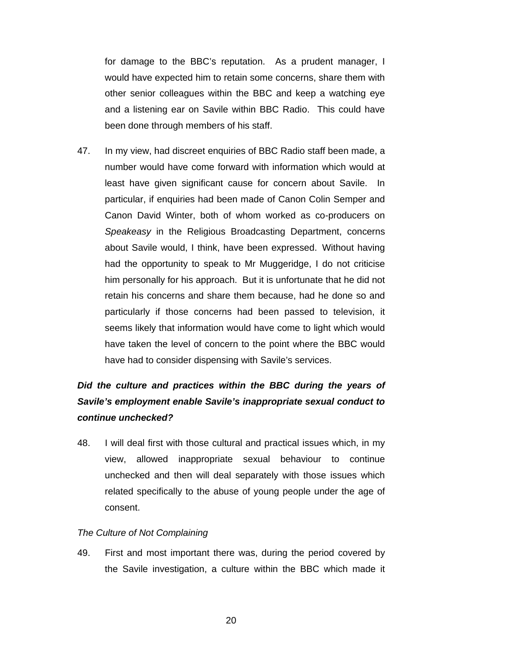for damage to the BBC's reputation. As a prudent manager, I would have expected him to retain some concerns, share them with other senior colleagues within the BBC and keep a watching eye and a listening ear on Savile within BBC Radio. This could have been done through members of his staff.

47. In my view, had discreet enquiries of BBC Radio staff been made, a number would have come forward with information which would at least have given significant cause for concern about Savile. In particular, if enquiries had been made of Canon Colin Semper and Canon David Winter, both of whom worked as co-producers on *Speakeasy* in the Religious Broadcasting Department, concerns about Savile would, I think, have been expressed. Without having had the opportunity to speak to Mr Muggeridge, I do not criticise him personally for his approach. But it is unfortunate that he did not retain his concerns and share them because, had he done so and particularly if those concerns had been passed to television, it seems likely that information would have come to light which would have taken the level of concern to the point where the BBC would have had to consider dispensing with Savile's services.

# *Did the culture and practices within the BBC during the years of Savile's employment enable Savile's inappropriate sexual conduct to continue unchecked?*

48. I will deal first with those cultural and practical issues which, in my view, allowed inappropriate sexual behaviour to continue unchecked and then will deal separately with those issues which related specifically to the abuse of young people under the age of consent.

#### *The Culture of Not Complaining*

49. First and most important there was, during the period covered by the Savile investigation, a culture within the BBC which made it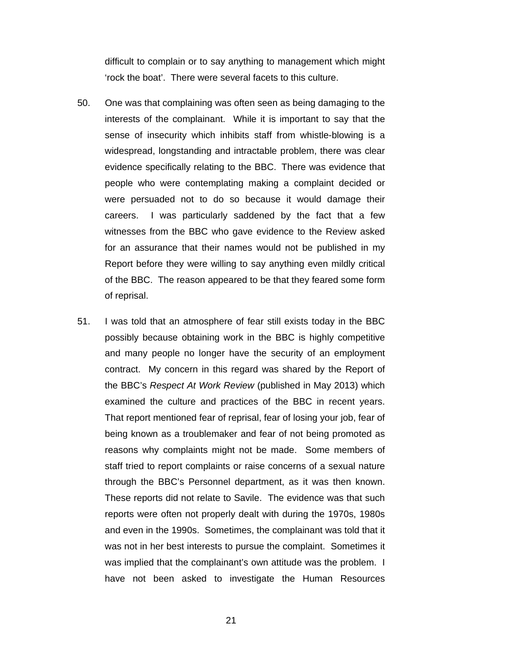difficult to complain or to say anything to management which might 'rock the boat'. There were several facets to this culture.

- 50. One was that complaining was often seen as being damaging to the interests of the complainant. While it is important to say that the sense of insecurity which inhibits staff from whistle-blowing is a widespread, longstanding and intractable problem, there was clear evidence specifically relating to the BBC. There was evidence that people who were contemplating making a complaint decided or were persuaded not to do so because it would damage their careers. I was particularly saddened by the fact that a few witnesses from the BBC who gave evidence to the Review asked for an assurance that their names would not be published in my Report before they were willing to say anything even mildly critical of the BBC. The reason appeared to be that they feared some form of reprisal.
- 51. I was told that an atmosphere of fear still exists today in the BBC possibly because obtaining work in the BBC is highly competitive and many people no longer have the security of an employment contract. My concern in this regard was shared by the Report of the BBC's *Respect At Work Review* (published in May 2013) which examined the culture and practices of the BBC in recent years. That report mentioned fear of reprisal, fear of losing your job, fear of being known as a troublemaker and fear of not being promoted as reasons why complaints might not be made. Some members of staff tried to report complaints or raise concerns of a sexual nature through the BBC's Personnel department, as it was then known. These reports did not relate to Savile. The evidence was that such reports were often not properly dealt with during the 1970s, 1980s and even in the 1990s. Sometimes, the complainant was told that it was not in her best interests to pursue the complaint. Sometimes it was implied that the complainant's own attitude was the problem. I have not been asked to investigate the Human Resources
	- 21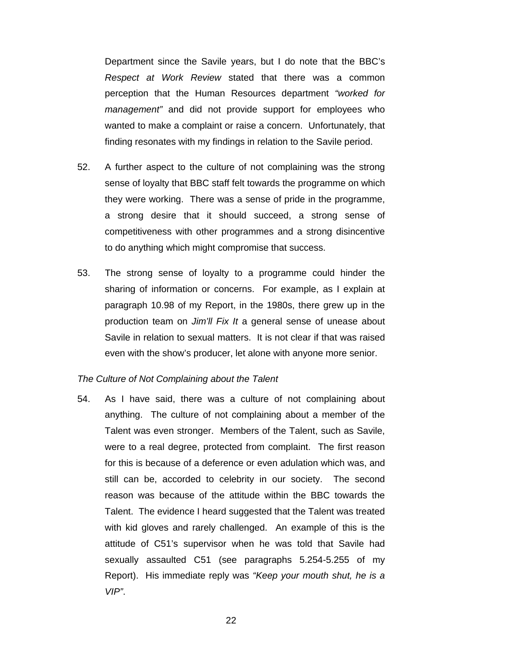Department since the Savile years, but I do note that the BBC's *Respect at Work Review* stated that there was a common perception that the Human Resources department *"worked for management"* and did not provide support for employees who wanted to make a complaint or raise a concern. Unfortunately, that finding resonates with my findings in relation to the Savile period.

- 52. A further aspect to the culture of not complaining was the strong sense of loyalty that BBC staff felt towards the programme on which they were working. There was a sense of pride in the programme, a strong desire that it should succeed, a strong sense of competitiveness with other programmes and a strong disincentive to do anything which might compromise that success.
- 53. The strong sense of loyalty to a programme could hinder the sharing of information or concerns. For example, as I explain at paragraph 10.98 of my Report, in the 1980s, there grew up in the production team on *Jim'll Fix It* a general sense of unease about Savile in relation to sexual matters. It is not clear if that was raised even with the show's producer, let alone with anyone more senior.

#### *The Culture of Not Complaining about the Talent*

54. As I have said, there was a culture of not complaining about anything. The culture of not complaining about a member of the Talent was even stronger. Members of the Talent, such as Savile, were to a real degree, protected from complaint. The first reason for this is because of a deference or even adulation which was, and still can be, accorded to celebrity in our society. The second reason was because of the attitude within the BBC towards the Talent. The evidence I heard suggested that the Talent was treated with kid gloves and rarely challenged. An example of this is the attitude of C51's supervisor when he was told that Savile had sexually assaulted C51 (see paragraphs 5.254-5.255 of my Report). His immediate reply was *"Keep your mouth shut, he is a VIP"*.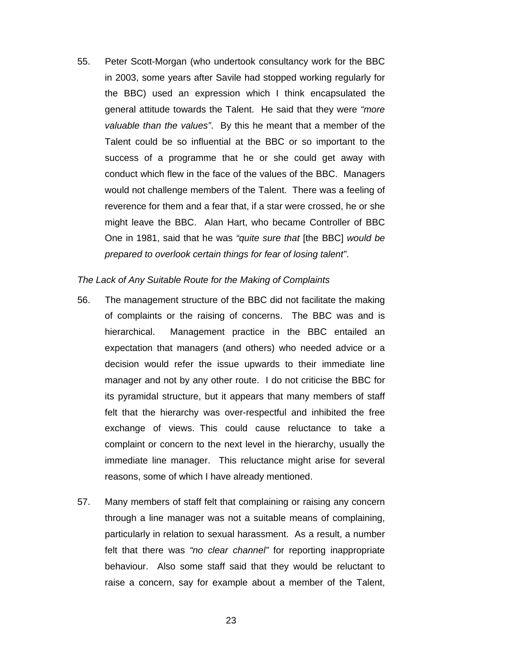55. Peter Scott-Morgan (who undertook consultancy work for the BBC in 2003, some years after Savile had stopped working regularly for the BBC) used an expression which I think encapsulated the general attitude towards the Talent. He said that they were *"more valuable than the values"*. By this he meant that a member of the Talent could be so influential at the BBC or so important to the success of a programme that he or she could get away with conduct which flew in the face of the values of the BBC. Managers would not challenge members of the Talent. There was a feeling of reverence for them and a fear that, if a star were crossed, he or she might leave the BBC. Alan Hart, who became Controller of BBC One in 1981, said that he was *"quite sure that* [the BBC] *would be prepared to overlook certain things for fear of losing talent"*.

#### *The Lack of Any Suitable Route for the Making of Complaints*

- 56. The management structure of the BBC did not facilitate the making of complaints or the raising of concerns. The BBC was and is hierarchical. Management practice in the BBC entailed an expectation that managers (and others) who needed advice or a decision would refer the issue upwards to their immediate line manager and not by any other route. I do not criticise the BBC for its pyramidal structure, but it appears that many members of staff felt that the hierarchy was over-respectful and inhibited the free exchange of views. This could cause reluctance to take a complaint or concern to the next level in the hierarchy, usually the immediate line manager. This reluctance might arise for several reasons, some of which I have already mentioned.
- 57. Many members of staff felt that complaining or raising any concern through a line manager was not a suitable means of complaining, particularly in relation to sexual harassment. As a result, a number felt that there was *"no clear channel"* for reporting inappropriate behaviour. Also some staff said that they would be reluctant to raise a concern, say for example about a member of the Talent,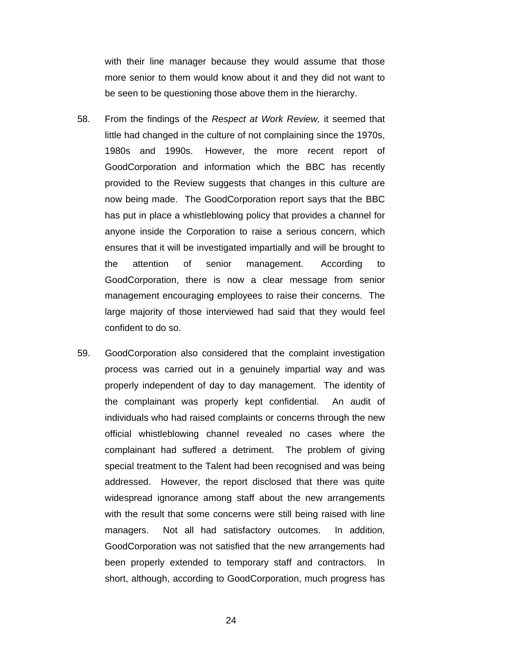with their line manager because they would assume that those more senior to them would know about it and they did not want to be seen to be questioning those above them in the hierarchy.

- 58. From the findings of the *Respect at Work Review,* it seemed that little had changed in the culture of not complaining since the 1970s, 1980s and 1990s. However, the more recent report of GoodCorporation and information which the BBC has recently provided to the Review suggests that changes in this culture are now being made. The GoodCorporation report says that the BBC has put in place a whistleblowing policy that provides a channel for anyone inside the Corporation to raise a serious concern, which ensures that it will be investigated impartially and will be brought to the attention of senior management. According to GoodCorporation, there is now a clear message from senior management encouraging employees to raise their concerns. The large majority of those interviewed had said that they would feel confident to do so.
- 59. GoodCorporation also considered that the complaint investigation process was carried out in a genuinely impartial way and was properly independent of day to day management. The identity of the complainant was properly kept confidential. An audit of individuals who had raised complaints or concerns through the new official whistleblowing channel revealed no cases where the complainant had suffered a detriment. The problem of giving special treatment to the Talent had been recognised and was being addressed. However, the report disclosed that there was quite widespread ignorance among staff about the new arrangements with the result that some concerns were still being raised with line managers. Not all had satisfactory outcomes. In addition, GoodCorporation was not satisfied that the new arrangements had been properly extended to temporary staff and contractors. In short, although, according to GoodCorporation, much progress has

24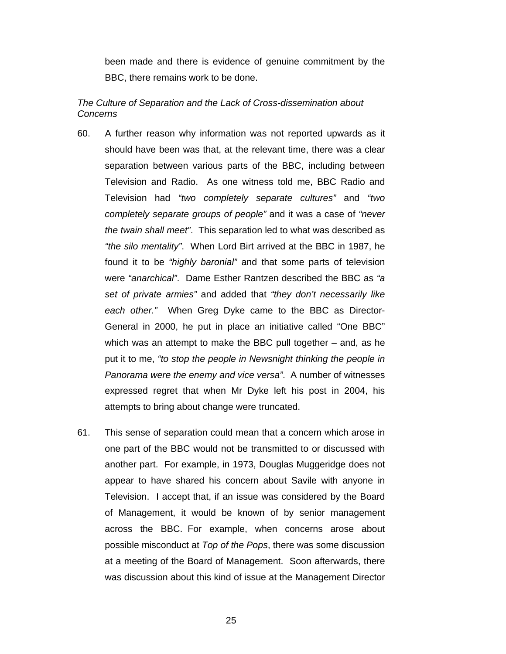been made and there is evidence of genuine commitment by the BBC, there remains work to be done.

### *The Culture of Separation and the Lack of Cross-dissemination about Concerns*

- 60. A further reason why information was not reported upwards as it should have been was that, at the relevant time, there was a clear separation between various parts of the BBC, including between Television and Radio. As one witness told me, BBC Radio and Television had *"two completely separate cultures"* and *"two completely separate groups of people"* and it was a case of *"never the twain shall meet"*. This separation led to what was described as *"the silo mentality"*. When Lord Birt arrived at the BBC in 1987, he found it to be *"highly baronial"* and that some parts of television were *"anarchical"*. Dame Esther Rantzen described the BBC as *"a set of private armies"* and added that *"they don't necessarily like each other."* When Greg Dyke came to the BBC as Director-General in 2000, he put in place an initiative called "One BBC" which was an attempt to make the BBC pull together – and, as he put it to me, *"to stop the people in Newsnight thinking the people in Panorama were the enemy and vice versa"*. A number of witnesses expressed regret that when Mr Dyke left his post in 2004, his attempts to bring about change were truncated.
- 61. This sense of separation could mean that a concern which arose in one part of the BBC would not be transmitted to or discussed with another part. For example, in 1973, Douglas Muggeridge does not appear to have shared his concern about Savile with anyone in Television. I accept that, if an issue was considered by the Board of Management, it would be known of by senior management across the BBC. For example, when concerns arose about possible misconduct at *Top of the Pops*, there was some discussion at a meeting of the Board of Management. Soon afterwards, there was discussion about this kind of issue at the Management Director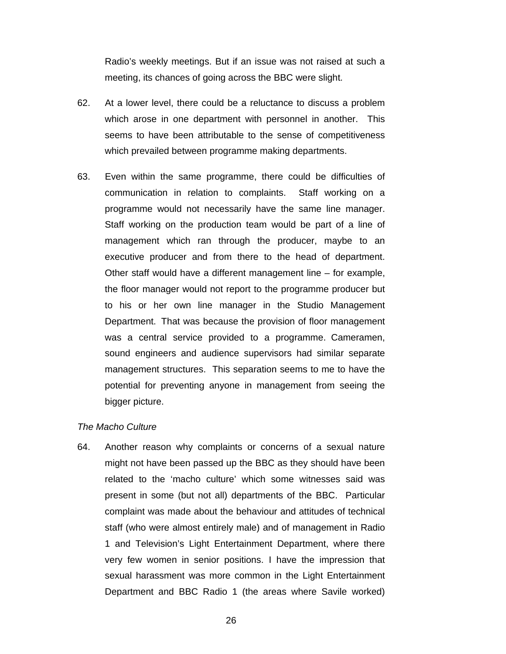Radio's weekly meetings. But if an issue was not raised at such a meeting, its chances of going across the BBC were slight.

- 62. At a lower level, there could be a reluctance to discuss a problem which arose in one department with personnel in another. This seems to have been attributable to the sense of competitiveness which prevailed between programme making departments.
- 63. Even within the same programme, there could be difficulties of communication in relation to complaints. Staff working on a programme would not necessarily have the same line manager. Staff working on the production team would be part of a line of management which ran through the producer, maybe to an executive producer and from there to the head of department. Other staff would have a different management line – for example, the floor manager would not report to the programme producer but to his or her own line manager in the Studio Management Department. That was because the provision of floor management was a central service provided to a programme. Cameramen, sound engineers and audience supervisors had similar separate management structures. This separation seems to me to have the potential for preventing anyone in management from seeing the bigger picture.

#### *The Macho Culture*

64. Another reason why complaints or concerns of a sexual nature might not have been passed up the BBC as they should have been related to the 'macho culture' which some witnesses said was present in some (but not all) departments of the BBC. Particular complaint was made about the behaviour and attitudes of technical staff (who were almost entirely male) and of management in Radio 1 and Television's Light Entertainment Department, where there very few women in senior positions. I have the impression that sexual harassment was more common in the Light Entertainment Department and BBC Radio 1 (the areas where Savile worked)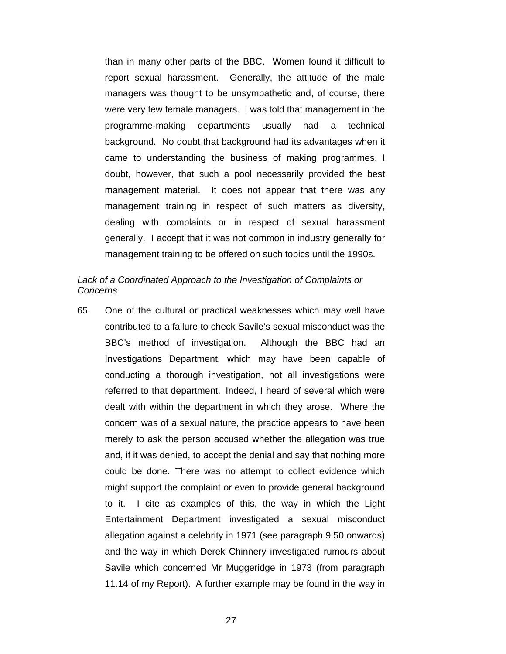than in many other parts of the BBC. Women found it difficult to report sexual harassment. Generally, the attitude of the male managers was thought to be unsympathetic and, of course, there were very few female managers. I was told that management in the programme-making departments usually had a technical background. No doubt that background had its advantages when it came to understanding the business of making programmes. I doubt, however, that such a pool necessarily provided the best management material. It does not appear that there was any management training in respect of such matters as diversity, dealing with complaints or in respect of sexual harassment generally. I accept that it was not common in industry generally for management training to be offered on such topics until the 1990s.

### *Lack of a Coordinated Approach to the Investigation of Complaints or Concerns*

65. One of the cultural or practical weaknesses which may well have contributed to a failure to check Savile's sexual misconduct was the BBC's method of investigation. Although the BBC had an Investigations Department, which may have been capable of conducting a thorough investigation, not all investigations were referred to that department. Indeed, I heard of several which were dealt with within the department in which they arose. Where the concern was of a sexual nature, the practice appears to have been merely to ask the person accused whether the allegation was true and, if it was denied, to accept the denial and say that nothing more could be done. There was no attempt to collect evidence which might support the complaint or even to provide general background to it. I cite as examples of this, the way in which the Light Entertainment Department investigated a sexual misconduct allegation against a celebrity in 1971 (see paragraph 9.50 onwards) and the way in which Derek Chinnery investigated rumours about Savile which concerned Mr Muggeridge in 1973 (from paragraph 11.14 of my Report). A further example may be found in the way in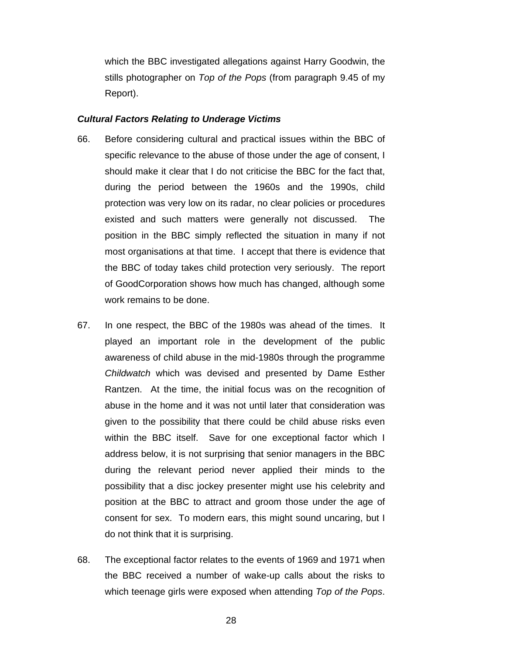which the BBC investigated allegations against Harry Goodwin, the stills photographer on *Top of the Pops* (from paragraph 9.45 of my Report).

#### *Cultural Factors Relating to Underage Victims*

- 66. Before considering cultural and practical issues within the BBC of specific relevance to the abuse of those under the age of consent, I should make it clear that I do not criticise the BBC for the fact that, during the period between the 1960s and the 1990s, child protection was very low on its radar, no clear policies or procedures existed and such matters were generally not discussed. The position in the BBC simply reflected the situation in many if not most organisations at that time. I accept that there is evidence that the BBC of today takes child protection very seriously. The report of GoodCorporation shows how much has changed, although some work remains to be done.
- 67. In one respect, the BBC of the 1980s was ahead of the times. It played an important role in the development of the public awareness of child abuse in the mid-1980s through the programme *Childwatch* which was devised and presented by Dame Esther Rantzen. At the time, the initial focus was on the recognition of abuse in the home and it was not until later that consideration was given to the possibility that there could be child abuse risks even within the BBC itself. Save for one exceptional factor which I address below, it is not surprising that senior managers in the BBC during the relevant period never applied their minds to the possibility that a disc jockey presenter might use his celebrity and position at the BBC to attract and groom those under the age of consent for sex. To modern ears, this might sound uncaring, but I do not think that it is surprising.
- 68. The exceptional factor relates to the events of 1969 and 1971 when the BBC received a number of wake-up calls about the risks to which teenage girls were exposed when attending *Top of the Pops*.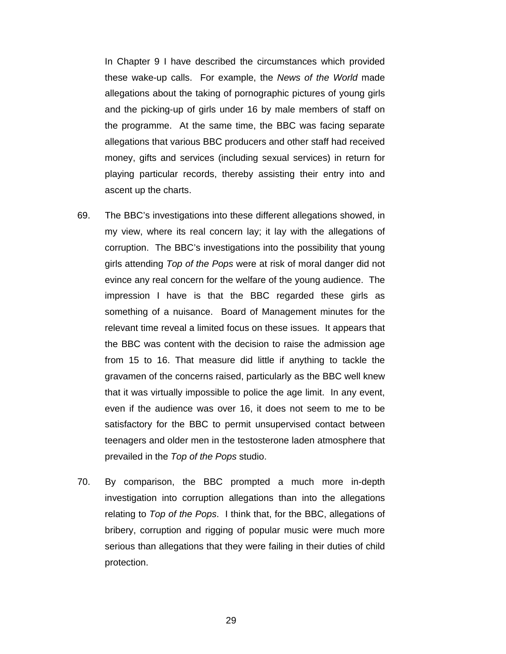In Chapter 9 I have described the circumstances which provided these wake-up calls. For example, the *News of the World* made allegations about the taking of pornographic pictures of young girls and the picking-up of girls under 16 by male members of staff on the programme. At the same time, the BBC was facing separate allegations that various BBC producers and other staff had received money, gifts and services (including sexual services) in return for playing particular records, thereby assisting their entry into and ascent up the charts.

- 69. The BBC's investigations into these different allegations showed, in my view, where its real concern lay; it lay with the allegations of corruption. The BBC's investigations into the possibility that young girls attending *Top of the Pops* were at risk of moral danger did not evince any real concern for the welfare of the young audience. The impression I have is that the BBC regarded these girls as something of a nuisance. Board of Management minutes for the relevant time reveal a limited focus on these issues. It appears that the BBC was content with the decision to raise the admission age from 15 to 16. That measure did little if anything to tackle the gravamen of the concerns raised, particularly as the BBC well knew that it was virtually impossible to police the age limit. In any event, even if the audience was over 16, it does not seem to me to be satisfactory for the BBC to permit unsupervised contact between teenagers and older men in the testosterone laden atmosphere that prevailed in the *Top of the Pops* studio.
- 70. By comparison, the BBC prompted a much more in-depth investigation into corruption allegations than into the allegations relating to *Top of the Pops*. I think that, for the BBC, allegations of bribery, corruption and rigging of popular music were much more serious than allegations that they were failing in their duties of child protection.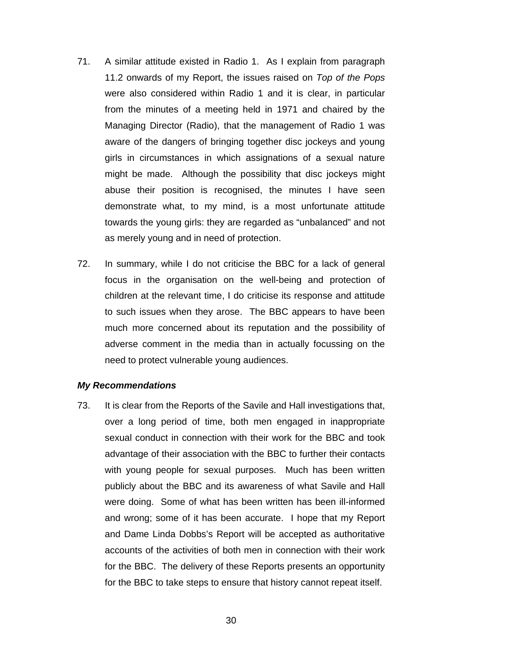- 71. A similar attitude existed in Radio 1. As I explain from paragraph 11.2 onwards of my Report, the issues raised on *Top of the Pops* were also considered within Radio 1 and it is clear, in particular from the minutes of a meeting held in 1971 and chaired by the Managing Director (Radio), that the management of Radio 1 was aware of the dangers of bringing together disc jockeys and young girls in circumstances in which assignations of a sexual nature might be made. Although the possibility that disc jockeys might abuse their position is recognised, the minutes I have seen demonstrate what, to my mind, is a most unfortunate attitude towards the young girls: they are regarded as "unbalanced" and not as merely young and in need of protection.
- 72. In summary, while I do not criticise the BBC for a lack of general focus in the organisation on the well-being and protection of children at the relevant time, I do criticise its response and attitude to such issues when they arose. The BBC appears to have been much more concerned about its reputation and the possibility of adverse comment in the media than in actually focussing on the need to protect vulnerable young audiences.

#### *My Recommendations*

73. It is clear from the Reports of the Savile and Hall investigations that, over a long period of time, both men engaged in inappropriate sexual conduct in connection with their work for the BBC and took advantage of their association with the BBC to further their contacts with young people for sexual purposes. Much has been written publicly about the BBC and its awareness of what Savile and Hall were doing. Some of what has been written has been ill-informed and wrong; some of it has been accurate. I hope that my Report and Dame Linda Dobbs's Report will be accepted as authoritative accounts of the activities of both men in connection with their work for the BBC. The delivery of these Reports presents an opportunity for the BBC to take steps to ensure that history cannot repeat itself.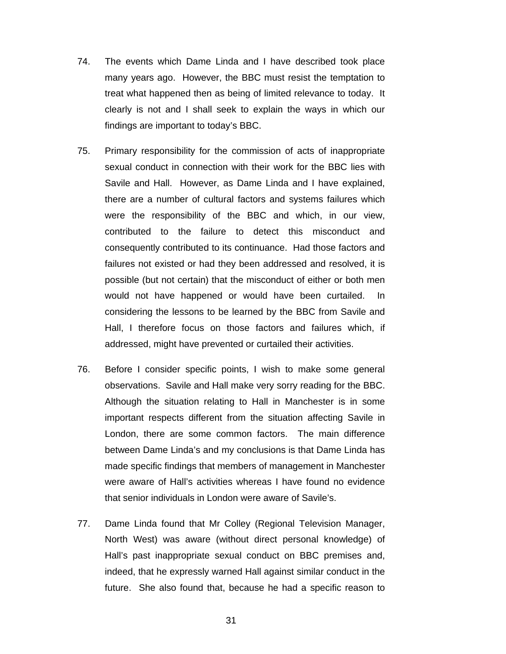- 74. The events which Dame Linda and I have described took place many years ago. However, the BBC must resist the temptation to treat what happened then as being of limited relevance to today. It clearly is not and I shall seek to explain the ways in which our findings are important to today's BBC.
- 75. Primary responsibility for the commission of acts of inappropriate sexual conduct in connection with their work for the BBC lies with Savile and Hall. However, as Dame Linda and I have explained, there are a number of cultural factors and systems failures which were the responsibility of the BBC and which, in our view, contributed to the failure to detect this misconduct and consequently contributed to its continuance. Had those factors and failures not existed or had they been addressed and resolved, it is possible (but not certain) that the misconduct of either or both men would not have happened or would have been curtailed. In considering the lessons to be learned by the BBC from Savile and Hall, I therefore focus on those factors and failures which, if addressed, might have prevented or curtailed their activities.
- 76. Before I consider specific points, I wish to make some general observations. Savile and Hall make very sorry reading for the BBC. Although the situation relating to Hall in Manchester is in some important respects different from the situation affecting Savile in London, there are some common factors. The main difference between Dame Linda's and my conclusions is that Dame Linda has made specific findings that members of management in Manchester were aware of Hall's activities whereas I have found no evidence that senior individuals in London were aware of Savile's.
- 77. Dame Linda found that Mr Colley (Regional Television Manager, North West) was aware (without direct personal knowledge) of Hall's past inappropriate sexual conduct on BBC premises and, indeed, that he expressly warned Hall against similar conduct in the future. She also found that, because he had a specific reason to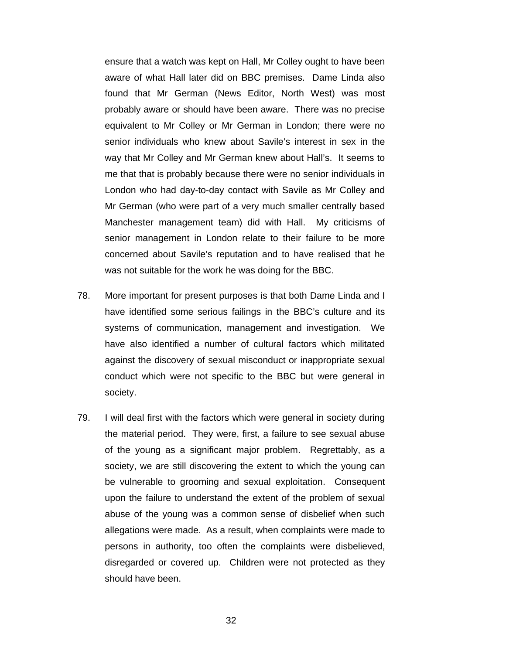ensure that a watch was kept on Hall, Mr Colley ought to have been aware of what Hall later did on BBC premises. Dame Linda also found that Mr German (News Editor, North West) was most probably aware or should have been aware. There was no precise equivalent to Mr Colley or Mr German in London; there were no senior individuals who knew about Savile's interest in sex in the way that Mr Colley and Mr German knew about Hall's. It seems to me that that is probably because there were no senior individuals in London who had day-to-day contact with Savile as Mr Colley and Mr German (who were part of a very much smaller centrally based Manchester management team) did with Hall. My criticisms of senior management in London relate to their failure to be more concerned about Savile's reputation and to have realised that he was not suitable for the work he was doing for the BBC.

- 78. More important for present purposes is that both Dame Linda and I have identified some serious failings in the BBC's culture and its systems of communication, management and investigation. We have also identified a number of cultural factors which militated against the discovery of sexual misconduct or inappropriate sexual conduct which were not specific to the BBC but were general in society.
- 79. I will deal first with the factors which were general in society during the material period. They were, first, a failure to see sexual abuse of the young as a significant major problem. Regrettably, as a society, we are still discovering the extent to which the young can be vulnerable to grooming and sexual exploitation. Consequent upon the failure to understand the extent of the problem of sexual abuse of the young was a common sense of disbelief when such allegations were made. As a result, when complaints were made to persons in authority, too often the complaints were disbelieved, disregarded or covered up. Children were not protected as they should have been.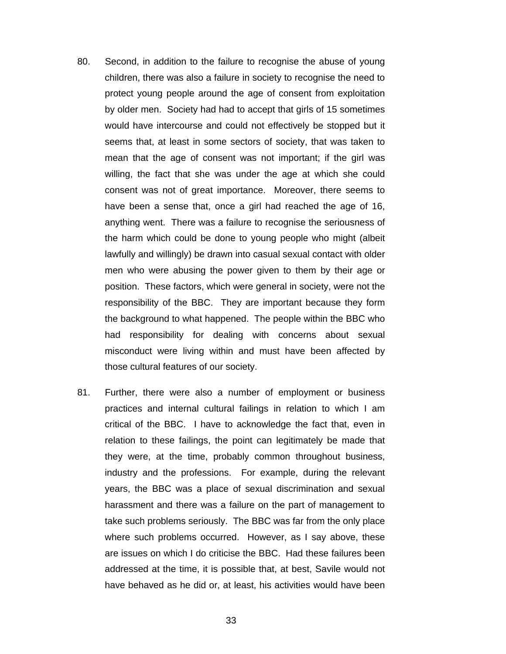- 80. Second, in addition to the failure to recognise the abuse of young children, there was also a failure in society to recognise the need to protect young people around the age of consent from exploitation by older men. Society had had to accept that girls of 15 sometimes would have intercourse and could not effectively be stopped but it seems that, at least in some sectors of society, that was taken to mean that the age of consent was not important; if the girl was willing, the fact that she was under the age at which she could consent was not of great importance. Moreover, there seems to have been a sense that, once a girl had reached the age of 16, anything went. There was a failure to recognise the seriousness of the harm which could be done to young people who might (albeit lawfully and willingly) be drawn into casual sexual contact with older men who were abusing the power given to them by their age or position. These factors, which were general in society, were not the responsibility of the BBC. They are important because they form the background to what happened. The people within the BBC who had responsibility for dealing with concerns about sexual misconduct were living within and must have been affected by those cultural features of our society.
- 81. Further, there were also a number of employment or business practices and internal cultural failings in relation to which I am critical of the BBC. I have to acknowledge the fact that, even in relation to these failings, the point can legitimately be made that they were, at the time, probably common throughout business, industry and the professions. For example, during the relevant years, the BBC was a place of sexual discrimination and sexual harassment and there was a failure on the part of management to take such problems seriously. The BBC was far from the only place where such problems occurred. However, as I say above, these are issues on which I do criticise the BBC. Had these failures been addressed at the time, it is possible that, at best, Savile would not have behaved as he did or, at least, his activities would have been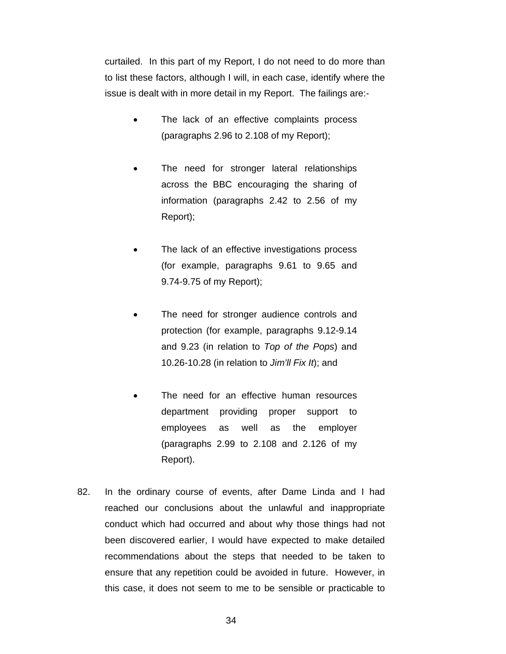curtailed. In this part of my Report, I do not need to do more than to list these factors, although I will, in each case, identify where the issue is dealt with in more detail in my Report. The failings are:-

- The lack of an effective complaints process (paragraphs 2.96 to 2.108 of my Report);
- The need for stronger lateral relationships across the BBC encouraging the sharing of information (paragraphs 2.42 to 2.56 of my Report);
- The lack of an effective investigations process (for example, paragraphs 9.61 to 9.65 and 9.74-9.75 of my Report);
- The need for stronger audience controls and protection (for example, paragraphs 9.12-9.14 and 9.23 (in relation to *Top of the Pops*) and 10.26-10.28 (in relation to *Jim'll Fix It*); and
- The need for an effective human resources department providing proper support to employees as well as the employer (paragraphs 2.99 to 2.108 and 2.126 of my Report).
- 82. In the ordinary course of events, after Dame Linda and I had reached our conclusions about the unlawful and inappropriate conduct which had occurred and about why those things had not been discovered earlier, I would have expected to make detailed recommendations about the steps that needed to be taken to ensure that any repetition could be avoided in future. However, in this case, it does not seem to me to be sensible or practicable to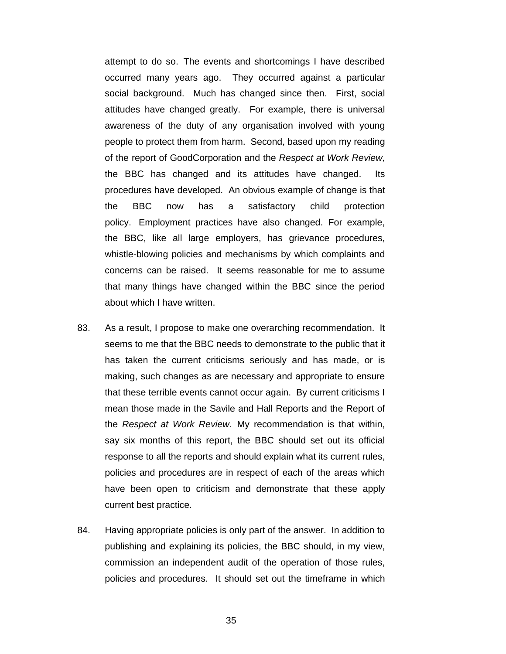attempt to do so. The events and shortcomings I have described occurred many years ago. They occurred against a particular social background. Much has changed since then. First, social attitudes have changed greatly. For example, there is universal awareness of the duty of any organisation involved with young people to protect them from harm. Second, based upon my reading of the report of GoodCorporation and the *Respect at Work Review,*  the BBC has changed and its attitudes have changed. Its procedures have developed. An obvious example of change is that the BBC now has a satisfactory child protection policy. Employment practices have also changed. For example, the BBC, like all large employers, has grievance procedures, whistle-blowing policies and mechanisms by which complaints and concerns can be raised. It seems reasonable for me to assume that many things have changed within the BBC since the period about which I have written.

- 83. As a result, I propose to make one overarching recommendation. It seems to me that the BBC needs to demonstrate to the public that it has taken the current criticisms seriously and has made, or is making, such changes as are necessary and appropriate to ensure that these terrible events cannot occur again. By current criticisms I mean those made in the Savile and Hall Reports and the Report of the *Respect at Work Review.* My recommendation is that within, say six months of this report, the BBC should set out its official response to all the reports and should explain what its current rules, policies and procedures are in respect of each of the areas which have been open to criticism and demonstrate that these apply current best practice.
- 84. Having appropriate policies is only part of the answer. In addition to publishing and explaining its policies, the BBC should, in my view, commission an independent audit of the operation of those rules, policies and procedures. It should set out the timeframe in which

35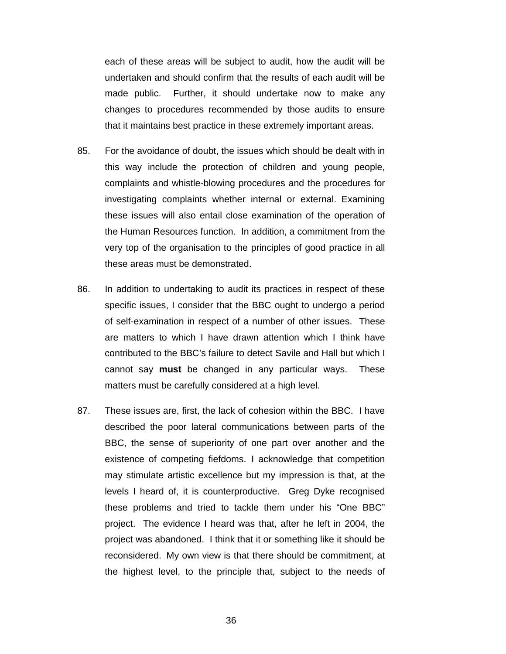each of these areas will be subject to audit, how the audit will be undertaken and should confirm that the results of each audit will be made public. Further, it should undertake now to make any changes to procedures recommended by those audits to ensure that it maintains best practice in these extremely important areas.

- 85. For the avoidance of doubt, the issues which should be dealt with in this way include the protection of children and young people, complaints and whistle-blowing procedures and the procedures for investigating complaints whether internal or external. Examining these issues will also entail close examination of the operation of the Human Resources function. In addition, a commitment from the very top of the organisation to the principles of good practice in all these areas must be demonstrated.
- 86. In addition to undertaking to audit its practices in respect of these specific issues, I consider that the BBC ought to undergo a period of self-examination in respect of a number of other issues. These are matters to which I have drawn attention which I think have contributed to the BBC's failure to detect Savile and Hall but which I cannot say **must** be changed in any particular ways. These matters must be carefully considered at a high level.
- 87. These issues are, first, the lack of cohesion within the BBC. I have described the poor lateral communications between parts of the BBC, the sense of superiority of one part over another and the existence of competing fiefdoms. I acknowledge that competition may stimulate artistic excellence but my impression is that, at the levels I heard of, it is counterproductive. Greg Dyke recognised these problems and tried to tackle them under his "One BBC" project. The evidence I heard was that, after he left in 2004, the project was abandoned. I think that it or something like it should be reconsidered. My own view is that there should be commitment, at the highest level, to the principle that, subject to the needs of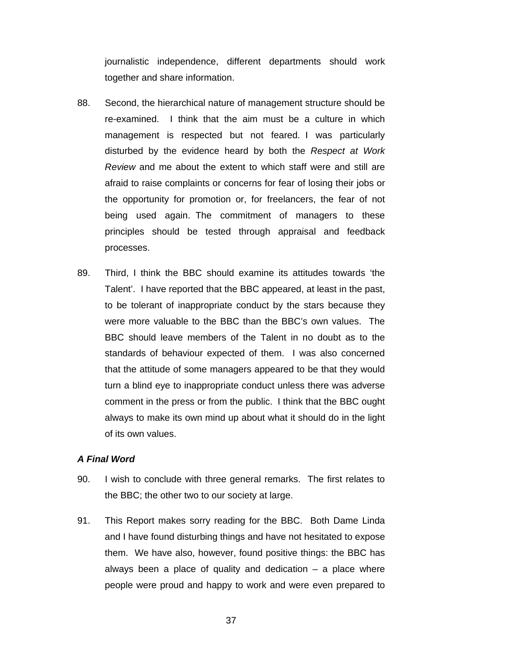journalistic independence, different departments should work together and share information.

- 88. Second, the hierarchical nature of management structure should be re-examined. I think that the aim must be a culture in which management is respected but not feared. I was particularly disturbed by the evidence heard by both the *Respect at Work Review* and me about the extent to which staff were and still are afraid to raise complaints or concerns for fear of losing their jobs or the opportunity for promotion or, for freelancers, the fear of not being used again. The commitment of managers to these principles should be tested through appraisal and feedback processes.
- 89. Third, I think the BBC should examine its attitudes towards 'the Talent'. I have reported that the BBC appeared, at least in the past, to be tolerant of inappropriate conduct by the stars because they were more valuable to the BBC than the BBC's own values. The BBC should leave members of the Talent in no doubt as to the standards of behaviour expected of them. I was also concerned that the attitude of some managers appeared to be that they would turn a blind eye to inappropriate conduct unless there was adverse comment in the press or from the public. I think that the BBC ought always to make its own mind up about what it should do in the light of its own values.

### *A Final Word*

- 90. I wish to conclude with three general remarks. The first relates to the BBC; the other two to our society at large.
- 91. This Report makes sorry reading for the BBC. Both Dame Linda and I have found disturbing things and have not hesitated to expose them. We have also, however, found positive things: the BBC has always been a place of quality and dedication  $-$  a place where people were proud and happy to work and were even prepared to